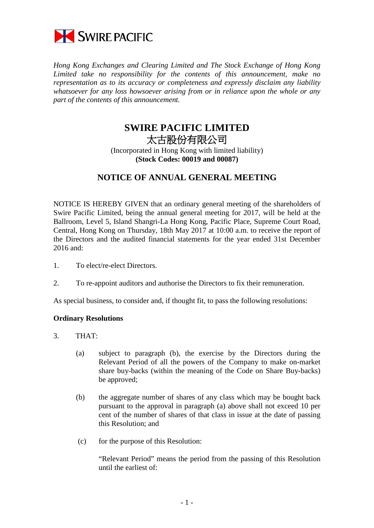

*Hong Kong Exchanges and Clearing Limited and The Stock Exchange of Hong Kong Limited take no responsibility for the contents of this announcement, make no representation as to its accuracy or completeness and expressly disclaim any liability whatsoever for any loss howsoever arising from or in reliance upon the whole or any part of the contents of this announcement.*

## **SWIRE PACIFIC LIMITED** 太古股份有限公司 (Incorporated in Hong Kong with limited liability) **(Stock Codes: 00019 and 00087)**

## **NOTICE OF ANNUAL GENERAL MEETING**

NOTICE IS HEREBY GIVEN that an ordinary general meeting of the shareholders of Swire Pacific Limited, being the annual general meeting for 2017, will be held at the Ballroom, Level 5, Island Shangri-La Hong Kong, Pacific Place, Supreme Court Road, Central, Hong Kong on Thursday, 18th May 2017 at 10:00 a.m. to receive the report of the Directors and the audited financial statements for the year ended 31st December 2016 and:

- 1. To elect/re-elect Directors.
- 2. To re-appoint auditors and authorise the Directors to fix their remuneration.

As special business, to consider and, if thought fit, to pass the following resolutions:

## **Ordinary Resolutions**

- 3. THAT:
	- (a) subject to paragraph (b), the exercise by the Directors during the Relevant Period of all the powers of the Company to make on-market share buy-backs (within the meaning of the Code on Share Buy-backs) be approved;
	- (b) the aggregate number of shares of any class which may be bought back pursuant to the approval in paragraph (a) above shall not exceed 10 per cent of the number of shares of that class in issue at the date of passing this Resolution; and
	- (c) for the purpose of this Resolution:

"Relevant Period" means the period from the passing of this Resolution until the earliest of: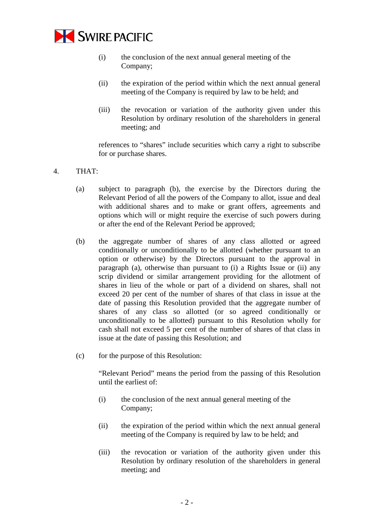

- (i) the conclusion of the next annual general meeting of the Company;
- (ii) the expiration of the period within which the next annual general meeting of the Company is required by law to be held; and
- (iii) the revocation or variation of the authority given under this Resolution by ordinary resolution of the shareholders in general meeting; and

references to "shares" include securities which carry a right to subscribe for or purchase shares.

- 4. THAT:
	- (a) subject to paragraph (b), the exercise by the Directors during the Relevant Period of all the powers of the Company to allot, issue and deal with additional shares and to make or grant offers, agreements and options which will or might require the exercise of such powers during or after the end of the Relevant Period be approved;
	- (b) the aggregate number of shares of any class allotted or agreed conditionally or unconditionally to be allotted (whether pursuant to an option or otherwise) by the Directors pursuant to the approval in paragraph (a), otherwise than pursuant to (i) a Rights Issue or (ii) any scrip dividend or similar arrangement providing for the allotment of shares in lieu of the whole or part of a dividend on shares, shall not exceed 20 per cent of the number of shares of that class in issue at the date of passing this Resolution provided that the aggregate number of shares of any class so allotted (or so agreed conditionally or unconditionally to be allotted) pursuant to this Resolution wholly for cash shall not exceed 5 per cent of the number of shares of that class in issue at the date of passing this Resolution; and
	- (c) for the purpose of this Resolution:

"Relevant Period" means the period from the passing of this Resolution until the earliest of:

- (i) the conclusion of the next annual general meeting of the Company;
- (ii) the expiration of the period within which the next annual general meeting of the Company is required by law to be held; and
- (iii) the revocation or variation of the authority given under this Resolution by ordinary resolution of the shareholders in general meeting; and